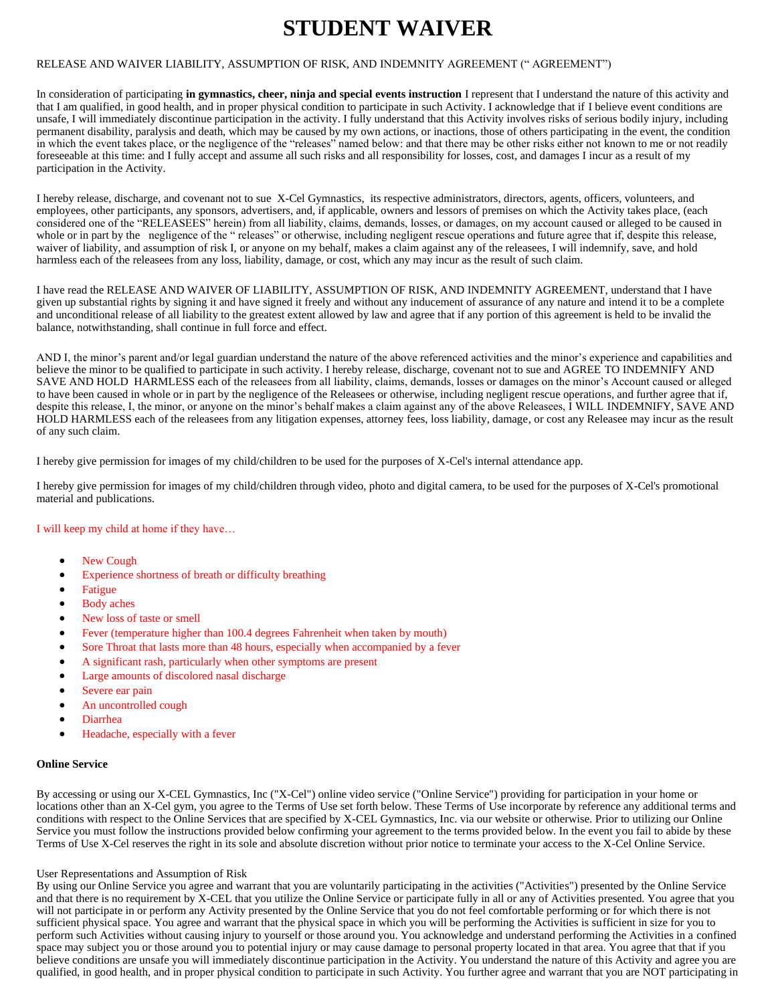# **STUDENT WAIVER**

## RELEASE AND WAIVER LIABILITY, ASSUMPTION OF RISK, AND INDEMNITY AGREEMENT (" AGREEMENT")

In consideration of participating **in gymnastics, cheer, ninja and special events instruction** I represent that I understand the nature of this activity and that I am qualified, in good health, and in proper physical condition to participate in such Activity. I acknowledge that if I believe event conditions are unsafe, I will immediately discontinue participation in the activity. I fully understand that this Activity involves risks of serious bodily injury, including permanent disability, paralysis and death, which may be caused by my own actions, or inactions, those of others participating in the event, the condition in which the event takes place, or the negligence of the "releases" named below: and that there may be other risks either not known to me or not readily foreseeable at this time: and I fully accept and assume all such risks and all responsibility for losses, cost, and damages I incur as a result of my participation in the Activity.

I hereby release, discharge, and covenant not to sue X-Cel Gymnastics, its respective administrators, directors, agents, officers, volunteers, and employees, other participants, any sponsors, advertisers, and, if applicable, owners and lessors of premises on which the Activity takes place, (each considered one of the "RELEASEES" herein) from all liability, claims, demands, losses, or damages, on my account caused or alleged to be caused in whole or in part by the negligence of the " releases" or otherwise, including negligent rescue operations and future agree that if, despite this release, waiver of liability, and assumption of risk I, or anyone on my behalf, makes a claim against any of the releasees, I will indemnify, save, and hold harmless each of the releasees from any loss, liability, damage, or cost, which any may incur as the result of such claim.

I have read the RELEASE AND WAIVER OF LIABILITY, ASSUMPTION OF RISK, AND INDEMNITY AGREEMENT, understand that I have given up substantial rights by signing it and have signed it freely and without any inducement of assurance of any nature and intend it to be a complete and unconditional release of all liability to the greatest extent allowed by law and agree that if any portion of this agreement is held to be invalid the balance, notwithstanding, shall continue in full force and effect.

AND I, the minor's parent and/or legal guardian understand the nature of the above referenced activities and the minor's experience and capabilities and believe the minor to be qualified to participate in such activity. I hereby release, discharge, covenant not to sue and AGREE TO INDEMNIFY AND SAVE AND HOLD HARMLESS each of the releasees from all liability, claims, demands, losses or damages on the minor's Account caused or alleged to have been caused in whole or in part by the negligence of the Releasees or otherwise, including negligent rescue operations, and further agree that if, despite this release, I, the minor, or anyone on the minor's behalf makes a claim against any of the above Releasees, I WILL INDEMNIFY, SAVE AND HOLD HARMLESS each of the releasees from any litigation expenses, attorney fees, loss liability, damage, or cost any Releasee may incur as the result of any such claim.

I hereby give permission for images of my child/children to be used for the purposes of X-Cel's internal attendance app.

I hereby give permission for images of my child/children through video, photo and digital camera, to be used for the purposes of X-Cel's promotional material and publications.

## I will keep my child at home if they have…

- New Cough
- Experience shortness of breath or difficulty breathing
- **Fatigue**
- Body aches
- New loss of taste or smell
- Fever (temperature higher than 100.4 degrees Fahrenheit when taken by mouth)
- Sore Throat that lasts more than 48 hours, especially when accompanied by a fever
- A significant rash, particularly when other symptoms are present
- Large amounts of discolored nasal discharge
- Severe ear pain
- An uncontrolled cough
- Diarrhea
- Headache, especially with a fever

### **Online Service**

By accessing or using our X-CEL Gymnastics, Inc ("X-Cel") online video service ("Online Service") providing for participation in your home or locations other than an X-Cel gym, you agree to the Terms of Use set forth below. These Terms of Use incorporate by reference any additional terms and conditions with respect to the Online Services that are specified by X-CEL Gymnastics, Inc. via our website or otherwise. Prior to utilizing our Online Service you must follow the instructions provided below confirming your agreement to the terms provided below. In the event you fail to abide by these Terms of Use X-Cel reserves the right in its sole and absolute discretion without prior notice to terminate your access to the X-Cel Online Service.

### User Representations and Assumption of Risk

By using our Online Service you agree and warrant that you are voluntarily participating in the activities ("Activities") presented by the Online Service and that there is no requirement by X-CEL that you utilize the Online Service or participate fully in all or any of Activities presented. You agree that you will not participate in or perform any Activity presented by the Online Service that you do not feel comfortable performing or for which there is not sufficient physical space. You agree and warrant that the physical space in which you will be performing the Activities is sufficient in size for you to perform such Activities without causing injury to yourself or those around you. You acknowledge and understand performing the Activities in a confined space may subject you or those around you to potential injury or may cause damage to personal property located in that area. You agree that that if you believe conditions are unsafe you will immediately discontinue participation in the Activity. You understand the nature of this Activity and agree you are qualified, in good health, and in proper physical condition to participate in such Activity. You further agree and warrant that you are NOT participating in